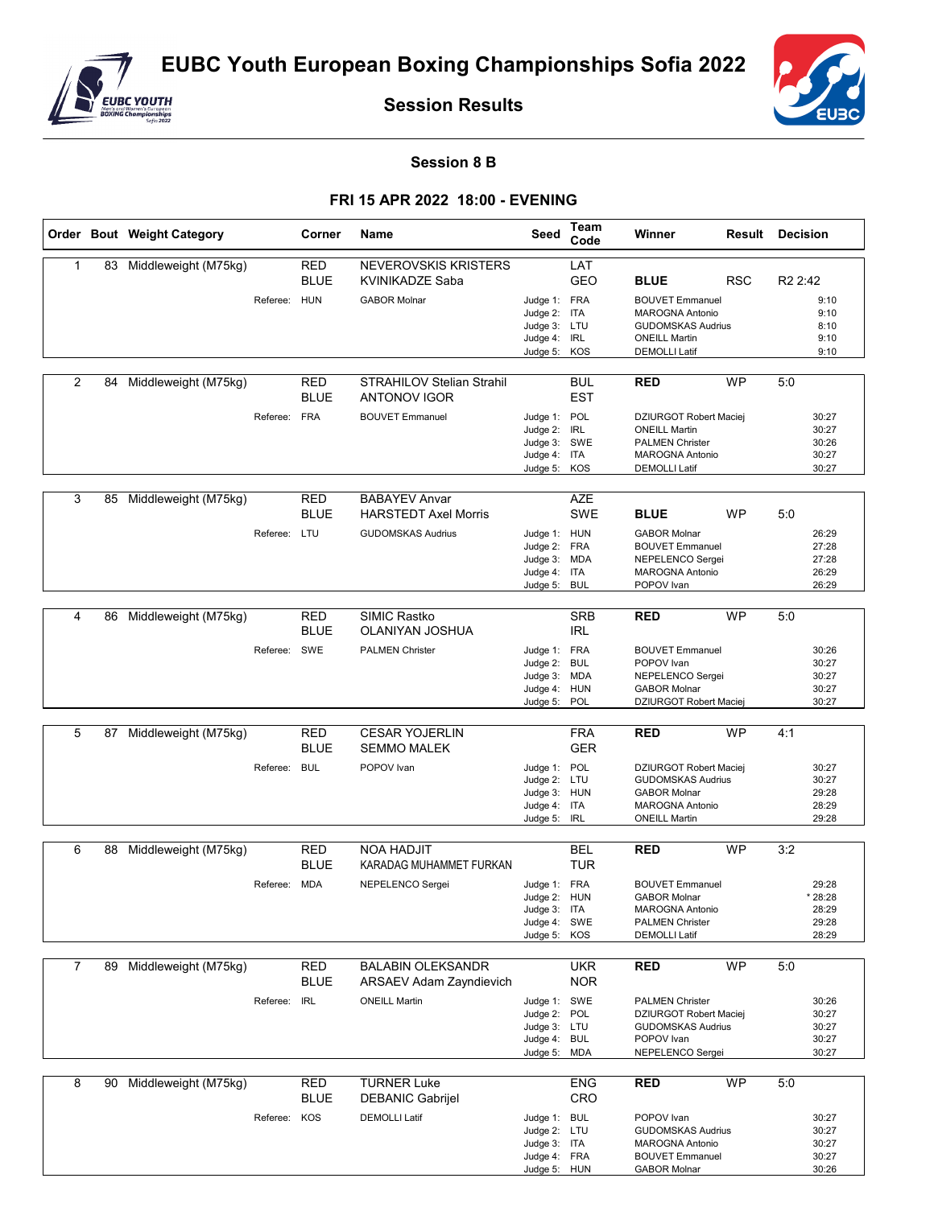

**Session Results**



## **Session 8 B**

## **FRI 15 APR 2022 18:00 - EVENING**

|   |    | Order Bout Weight Category |              | Corner                    | Name                                                                  | Seed                                                                         | Team<br>Code             | Winner                                                                                                                            |            | <b>Result Decision</b>                      |
|---|----|----------------------------|--------------|---------------------------|-----------------------------------------------------------------------|------------------------------------------------------------------------------|--------------------------|-----------------------------------------------------------------------------------------------------------------------------------|------------|---------------------------------------------|
| 1 | 83 | Middleweight (M75kg)       | Referee: HUN | RED<br><b>BLUE</b>        | <b>NEVEROVSKIS KRISTERS</b><br>KVINIKADZE Saba<br><b>GABOR Molnar</b> | Judge 1: FRA                                                                 | LAT<br><b>GEO</b>        | <b>BLUE</b><br><b>BOUVET Emmanuel</b>                                                                                             | <b>RSC</b> | R <sub>2</sub> 2:42<br>9:10                 |
|   |    |                            |              |                           |                                                                       | Judge 2: ITA<br>Judge 3: LTU<br>Judge 4: IRL<br>Judge 5: KOS                 |                          | <b>MAROGNA Antonio</b><br><b>GUDOMSKAS Audrius</b><br><b>ONEILL Martin</b><br><b>DEMOLLI Latif</b>                                |            | 9:10<br>8:10<br>9:10<br>9:10                |
| 2 | 84 | Middleweight (M75kg)       |              | <b>RED</b><br><b>BLUE</b> | <b>STRAHILOV Stelian Strahil</b><br><b>ANTONOV IGOR</b>               |                                                                              | <b>BUL</b><br><b>EST</b> | RED                                                                                                                               | <b>WP</b>  | 5:0                                         |
|   |    |                            | Referee: FRA |                           | <b>BOUVET Emmanuel</b>                                                | Judge 1: POL<br>Judge 2: IRL<br>Judge 3: SWE<br>Judge 4: ITA<br>Judge 5: KOS |                          | <b>DZIURGOT Robert Maciei</b><br><b>ONEILL Martin</b><br><b>PALMEN Christer</b><br><b>MAROGNA Antonio</b><br><b>DEMOLLI Latif</b> |            | 30:27<br>30:27<br>30:26<br>30:27<br>30:27   |
| 3 | 85 | Middleweight (M75kg)       |              | <b>RED</b><br><b>BLUE</b> | <b>BABAYEV Anvar</b><br><b>HARSTEDT Axel Morris</b>                   |                                                                              | <b>AZE</b><br><b>SWE</b> | <b>BLUE</b>                                                                                                                       | <b>WP</b>  | 5:0                                         |
|   |    |                            | Referee: LTU |                           | <b>GUDOMSKAS Audrius</b>                                              | Judge 1: HUN<br>Judge 2: FRA<br>Judge 3: MDA<br>Judge 4: ITA<br>Judge 5: BUL |                          | <b>GABOR Molnar</b><br><b>BOUVET Emmanuel</b><br>NEPELENCO Sergei<br>MAROGNA Antonio<br>POPOV Ivan                                |            | 26:29<br>27:28<br>27:28<br>26:29<br>26:29   |
| 4 | 86 | Middleweight (M75kg)       |              | <b>RED</b><br><b>BLUE</b> | <b>SIMIC Rastko</b><br>OLANIYAN JOSHUA                                |                                                                              | <b>SRB</b><br><b>IRL</b> | <b>RED</b>                                                                                                                        | <b>WP</b>  | 5:0                                         |
|   |    |                            | Referee: SWE |                           | <b>PALMEN Christer</b>                                                | Judge 1: FRA<br>Judge 2: BUL<br>Judge 3: MDA<br>Judge 4: HUN<br>Judge 5: POL |                          | <b>BOUVET Emmanuel</b><br>POPOV Ivan<br>NEPELENCO Sergei<br><b>GABOR Molnar</b><br>DZIURGOT Robert Maciej                         |            | 30:26<br>30:27<br>30:27<br>30:27<br>30:27   |
|   |    |                            |              |                           |                                                                       |                                                                              |                          |                                                                                                                                   |            |                                             |
| 5 | 87 | Middleweight (M75kg)       |              | <b>RED</b><br><b>BLUE</b> | <b>CESAR YOJERLIN</b><br><b>SEMMO MALEK</b>                           |                                                                              | <b>FRA</b><br><b>GER</b> | <b>RED</b>                                                                                                                        | <b>WP</b>  | 4:1                                         |
|   |    |                            | Referee:     | <b>BUL</b>                | POPOV Ivan                                                            | Judge 1: POL<br>Judge 2: LTU<br>Judge 3: HUN<br>Judge 4: ITA<br>Judge 5: IRL |                          | DZIURGOT Robert Maciej<br><b>GUDOMSKAS Audrius</b><br><b>GABOR Molnar</b><br><b>MAROGNA Antonio</b><br><b>ONEILL Martin</b>       |            | 30:27<br>30:27<br>29:28<br>28:29<br>29:28   |
| 6 |    | 88 Middleweight (M75kg)    |              | <b>RED</b>                | <b>NOA HADJIT</b>                                                     |                                                                              | <b>BEL</b>               | <b>RED</b>                                                                                                                        | <b>WP</b>  | 3:2                                         |
|   |    |                            |              | <b>BLUE</b>               | KARADAG MUHAMMET FURKAN                                               |                                                                              | <b>TUR</b>               |                                                                                                                                   |            |                                             |
|   |    |                            | Referee: MDA |                           | NEPELENCO Sergei                                                      | Judge 1: FRA<br>Judge 2: HUN<br>Judge 3: ITA<br>Judge 4: SWE<br>Judge 5:     | KOS                      | <b>BOUVET Emmanuel</b><br><b>GABOR Molnar</b><br><b>MAROGNA Antonio</b><br><b>PALMEN Christer</b><br><b>DEMOLLI Latif</b>         |            | 29:28<br>* 28:28<br>28:29<br>29:28<br>28:29 |
| 7 | 89 | Middleweight (M75kg)       |              | <b>RED</b>                | <b>BALABIN OLEKSANDR</b>                                              |                                                                              | <b>UKR</b>               | <b>RED</b>                                                                                                                        | <b>WP</b>  | 5:0                                         |
|   |    |                            |              | BLUE                      | <b>ARSAEV Adam Zayndievich</b>                                        |                                                                              | <b>NOR</b>               |                                                                                                                                   |            |                                             |
|   |    |                            | Referee: IRL |                           | <b>ONEILL Martin</b>                                                  | Judge 1: SWE<br>Judge 2: POL<br>Judge 3: LTU<br>Judge 4: BUL<br>Judge 5: MDA |                          | <b>PALMEN Christer</b><br>DZIURGOT Robert Maciej<br><b>GUDOMSKAS Audrius</b><br>POPOV Ivan<br>NEPELENCO Sergei                    |            | 30:26<br>30:27<br>30:27<br>30:27<br>30:27   |
| 8 | 90 | Middleweight (M75kg)       |              | <b>RED</b>                | <b>TURNER Luke</b>                                                    |                                                                              | <b>ENG</b>               | <b>RED</b>                                                                                                                        | <b>WP</b>  | 5:0                                         |
|   |    |                            |              | <b>BLUE</b>               | DEBANIC Gabrijel                                                      |                                                                              | CRO                      |                                                                                                                                   |            |                                             |
|   |    |                            | Referee: KOS |                           | <b>DEMOLLI Latif</b>                                                  | Judge 1: BUL<br>Judge 2: LTU<br>Judge 3: ITA<br>Judge 4: FRA<br>Judge 5: HUN |                          | POPOV Ivan<br><b>GUDOMSKAS Audrius</b><br>MAROGNA Antonio<br><b>BOUVET Emmanuel</b><br><b>GABOR Molnar</b>                        |            | 30:27<br>30:27<br>30:27<br>30:27<br>30:26   |